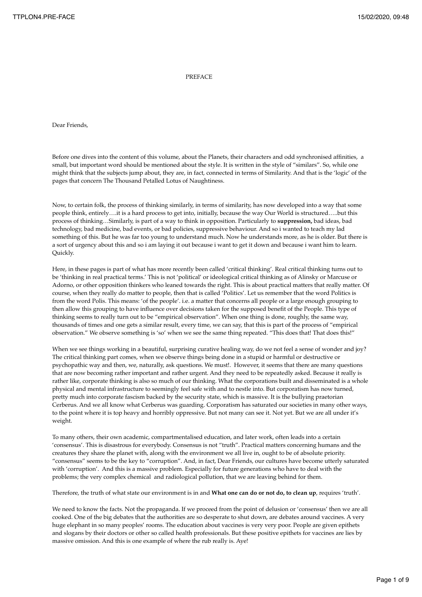## PREFACE

Dear Friends,

Before one dives into the content of this volume, about the Planets, their characters and odd synchronised affinities, a small, but important word should be mentioned about the style. It is written in the style of "similars". So, while one might think that the subjects jump about, they are, in fact, connected in terms of Similarity. And that is the 'logic' of the pages that concern The Thousand Petalled Lotus of Naughtiness.

Now, to certain folk, the process of thinking similarly, in terms of similarity, has now developed into a way that some people think, entirely….it is a hard process to get into, initially, because the way Our World is structured…..but this process of thinking…Similarly, is part of a way to think in opposition. Particularly to **suppression,** bad ideas, bad technology, bad medicine, bad events, or bad policies, suppressive behaviour. And so i wanted to teach my lad something of this. But he was far too young to understand much. Now he understands more, as he is older. But there is a sort of urgency about this and so i am laying it out because i want to get it down and because i want him to learn. Quickly.

Here, in these pages is part of what has more recently been called 'critical thinking'. Real critical thinking turns out to be 'thinking in real practical terms.' This is not 'political' or ideological critical thinking as of Alinsky or Marcuse or Adorno, or other opposition thinkers who leaned towards the right. This is about practical matters that really matter. Of course, when they really do matter to people, then that is called 'Politics'. Let us remember that the word Politics is from the word Polis. This means: 'of the people'. i.e. a matter that concerns all people or a large enough grouping to then allow this grouping to have influence over decisions taken for the supposed benefit of the People. This type of thinking seems to really turn out to be "empirical observation". When one thing is done, roughly, the same way, thousands of times and one gets a similar result, every time, we can say, that this is part of the process of "empirical observation." We observe something is 'so' when we see the same thing repeated. "This does that! That does this!"

When we see things working in a beautiful, surprising curative healing way, do we not feel a sense of wonder and joy? The critical thinking part comes, when we observe things being done in a stupid or harmful or destructive or psychopathic way and then, we, naturally, ask questions. We must!. However, it seems that there are many questions that are now becoming rather important and rather urgent. And they need to be repeatedly asked. Because it really is rather like, corporate thinking is also so much of our thinking. What the corporations built and disseminated is a whole physical and mental infrastructure to seemingly feel safe with and to nestle into. But corporatism has now turned, pretty much into corporate fascism backed by the security state, which is massive. It is the bullying praetorian Cerberus. And we all know what Cerberus was guarding. Corporatism has saturated our societies in many other ways, to the point where it is top heavy and horribly oppressive. But not many can see it. Not yet. But we are all under it's weight.

To many others, their own academic, compartmentalised education, and later work, often leads into a certain 'consensus'. This is disastrous for everybody. Consensus is not "truth". Practical matters concerning humans and the creatures they share the planet with, along with the environment we all live in, ought to be of absolute priority. "consensus" seems to be the key to "corruption". And, in fact, Dear Friends, our cultures have become utterly saturated with 'corruption'. And this is a massive problem. Especially for future generations who have to deal with the problems; the very complex chemical and radiological pollution, that we are leaving behind for them.

Therefore, the truth of what state our environment is in and **What one can do or not do, to clean up**, requires 'truth'.

We need to know the facts. Not the propaganda. If we proceed from the point of delusion or 'consensus' then we are all cooked. One of the big debates that the authorities are so desperate to shut down, are debates around vaccines. A very huge elephant in so many peoples' rooms. The education about vaccines is very very poor. People are given epithets and slogans by their doctors or other so called health professionals. But these positive epithets for vaccines are lies by massive omission. And this is one example of where the rub really is. Aye!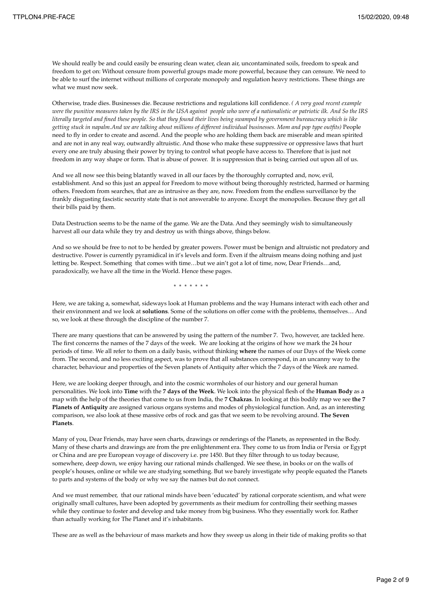We should really be and could easily be ensuring clean water, clean air, uncontaminated soils, freedom to speak and freedom to get on: Without censure from powerful groups made more powerful, because they can censure. We need to be able to surf the internet without millions of corporate monopoly and regulation heavy restrictions. These things are what we must now seek.

Otherwise, trade dies. Businesses die. Because restrictions and regulations kill confidence. *( A very good recent example were the punitive measures taken by the IRS in the USA against people who were of a nationalistic or patriotic ilk. And So the IRS literally targeted and fined these people. So that they found their lives being swamped by government bureaucracy which is like getting stuck in napalm.And we are talking about millions of different individual businesses. Mom and pop type outfits)* People need to fly in order to create and ascend. And the people who are holding them back are miserable and mean spirited and are not in any real way, outwardly altruistic. And those who make these suppressive or oppressive laws that hurt every one are truly abusing their power by trying to control what people have access to. Therefore that is just not freedom in any way shape or form. That is abuse of power. It is suppression that is being carried out upon all of us.

And we all now see this being blatantly waved in all our faces by the thoroughly corrupted and, now, evil, establishment. And so this just an appeal for Freedom to move without being thoroughly restricted, harmed or harming others. Freedom from searches, that are as intrusive as they are, now. Freedom from the endless surveillance by the frankly disgusting fascistic security state that is not answerable to anyone. Except the monopolies. Because they get all their bills paid by them.

Data Destruction seems to be the name of the game. We are the Data. And they seemingly wish to simultaneously harvest all our data while they try and destroy us with things above, things below.

And so we should be free to not to be herded by greater powers. Power must be benign and altruistic not predatory and destructive. Power is currently pyramidical in it's levels and form. Even if the altruism means doing nothing and just letting be. Respect. Something that comes with time…but we ain't got a lot of time, now, Dear Friends…and, paradoxically, we have all the time in the World. Hence these pages.

\* \* \* \* \* \* \*

Here, we are taking a, somewhat, sideways look at Human problems and the way Humans interact with each other and their environment and we look at **solutions**. Some of the solutions on offer come with the problems, themselves… And so, we look at these through the discipline of the number 7.

There are many questions that can be answered by using the pattern of the number 7. Two, however, are tackled here. The first concerns the names of the 7 days of the week. We are looking at the origins of how we mark the 24 hour periods of time. We all refer to them on a daily basis, without thinking **where** the names of our Days of the Week come from. The second, and no less exciting aspect, was to prove that all substances correspond, in an uncanny way to the character, behaviour and properties of the Seven planets of Antiquity after which the 7 days of the Week are named.

Here, we are looking deeper through, and into the cosmic wormholes of our history and our general human personalities. We look into **Time** with the **7 days of the Week**. We look into the physical flesh of the **Human Body** as a map with the help of the theories that come to us from India, the **7 Chakras**. In looking at this bodily map we see **the 7 Planets of Antiquity** are assigned various organs systems and modes of physiological function. And, as an interesting comparison, we also look at these massive orbs of rock and gas that we seem to be revolving around. **The Seven Planets**.

Many of you, Dear Friends, may have seen charts, drawings or renderings of the Planets, as represented in the Body. Many of these charts and drawings are from the pre enlightenment era. They come to us from India or Persia or Egypt or China and are pre European voyage of discovery i.e. pre 1450. But they filter through to us today because, somewhere, deep down, we enjoy having our rational minds challenged. We see these, in books or on the walls of people's houses, online or while we are studying something. But we barely investigate why people equated the Planets to parts and systems of the body or why we say the names but do not connect.

And we must remember, that our rational minds have been 'educated' by rational corporate scientism, and what were originally small cultures, have been adopted by governments as their medium for controlling their seething masses while they continue to foster and develop and take money from big business. Who they essentially work for. Rather than actually working for The Planet and it's inhabitants.

These are as well as the behaviour of mass markets and how they sweep us along in their tide of making profits so that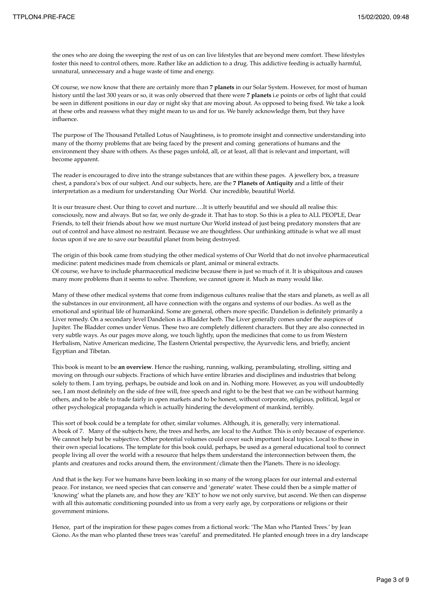the ones who are doing the sweeping the rest of us on can live lifestyles that are beyond mere comfort. These lifestyles foster this need to control others, more. Rather like an addiction to a drug. This addictive feeding is actually harmful, unnatural, unnecessary and a huge waste of time and energy.

Of course, we now know that there are certainly more than **7 planets** in our Solar System. However, for most of human history until the last 300 years or so, it was only observed that there were **7 planets** i.e points or orbs of light that could be seen in different positions in our day or night sky that are moving about. As opposed to being fixed. We take a look at these orbs and reassess what they might mean to us and for us. We barely acknowledge them, but they have influence.

The purpose of The Thousand Petalled Lotus of Naughtiness, is to promote insight and connective understanding into many of the thorny problems that are being faced by the present and coming generations of humans and the environment they share with others. As these pages unfold, all, or at least, all that is relevant and important, will become apparent.

The reader is encouraged to dive into the strange substances that are within these pages. A jewellery box, a treasure chest, a pandora's box of our subject. And our subjects, here, are the **7 Planets of Antiquity** and a little of their interpretation as a medium for understanding Our World. Our incredible, beautiful World.

It is our treasure chest. Our thing to covet and nurture….It is utterly beautiful and we should all realise this: consciously, now and always. But so far, we only de-grade it. That has to stop. So this is a plea to ALL PEOPLE, Dear Friends, to tell their friends about how we must nurture Our World instead of just being predatory monsters that are out of control and have almost no restraint. Because we are thoughtless. Our unthinking attitude is what we all must focus upon if we are to save our beautiful planet from being destroyed.

The origin of this book came from studying the other medical systems of Our World that do not involve pharmaceutical medicine: patent medicines made from chemicals or plant, animal or mineral extracts. Of course, we have to include pharmaceutical medicine because there is just so much of it. It is ubiquitous and causes many more problems than it seems to solve. Therefore, we cannot ignore it. Much as many would like.

Many of these other medical systems that come from indigenous cultures realise that the stars and planets, as well as all the substances in our environment, all have connection with the organs and systems of our bodies. As well as the emotional and spiritual life of humankind. Some are general, others more specific. Dandelion is definitely primarily a Liver remedy. On a secondary level Dandelion is a Bladder herb. The Liver generally comes under the auspices of Jupiter. The Bladder comes under Venus. These two are completely different characters. But they are also connected in very subtle ways. As our pages move along, we touch lightly, upon the medicines that come to us from Western Herbalism, Native American medicine, The Eastern Oriental perspective, the Ayurvedic lens, and briefly, ancient Egyptian and Tibetan.

This book is meant to be **an overview**. Hence the rushing, running, walking, perambulating, strolling, sitting and moving on through our subjects. Fractions of which have entire libraries and disciplines and industries that belong solely to them. I am trying, perhaps, be outside and look on and in. Nothing more. However, as you will undoubtedly see, I am most definitely on the side of free will, free speech and right to be the best that we can be without harming others, and to be able to trade fairly in open markets and to be honest, without corporate, religious, political, legal or other psychological propaganda which is actually hindering the development of mankind, terribly.

This sort of book could be a template for other, similar volumes. Although, it is, generally, very international. A book of 7. Many of the subjects here, the trees and herbs, are local to the Author. This is only because of experience. We cannot help but be subjective. Other potential volumes could cover such important local topics. Local to those in their own special locations. The template for this book could, perhaps, be used as a general educational tool to connect people living all over the world with a resource that helps them understand the interconnection between them, the plants and creatures and rocks around them, the environment/climate then the Planets. There is no ideology.

And that is the key. For we humans have been looking in so many of the wrong places for our internal and external peace. For instance, we need species that can conserve and 'generate' water. These could then be a simple matter of 'knowing' what the planets are, and how they are 'KEY' to how we not only survive, but ascend. We then can dispense with all this automatic conditioning pounded into us from a very early age, by corporations or religions or their government minions.

Hence, part of the inspiration for these pages comes from a fictional work: 'The Man who Planted Trees.' by Jean Giono. As the man who planted these trees was 'careful' and premeditated. He planted enough trees in a dry landscape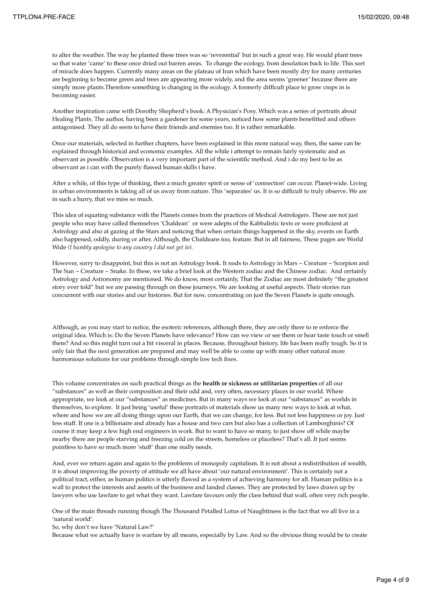to alter the weather. The way he planted these trees was so 'reverential' but in such a great way. He would plant trees so that water 'came' to these once dried out barren areas. To change the ecology, from desolation back to life. This sort of miracle does happen. Currently many areas on the plateau of Iran which have been mostly dry for many centuries are beginning to become green and trees are appearing more widely, and the area seems 'greener' because there are simply more plants.Therefore something is changing in the ecology. A formerly difficult place to grow crops in is becoming easier.

Another inspiration came with Dorothy Shepherd's book: A Physician's Posy. Which was a series of portraits about Healing Plants. The author, having been a gardener for some years, noticed how some plants benefitted and others antagonised. They all do seem to have their friends and enemies too. It is rather remarkable.

Once our materials, selected in further chapters, have been explained in this more natural way, then, the same can be explained through historical and economic examples. All the while i attempt to remain fairly systematic and as observant as possible. Observation is a very important part of the scientific method. And i do my best to be as observant as i can with the purely flawed human skills i have.

After a while, of this type of thinking, then a much greater spirit or sense of 'connection' can occur. Planet-wide. Living in urban environments is taking all of us away from nature. This 'separates' us. It is so difficult to truly observe. We are in such a hurry, that we miss so much.

This idea of equating substance with the Planets comes from the practices of Medical Astrologers. These are not just people who may have called themselves 'Chaldean' or were adepts of the Kabbalistic texts or were proficient at Astrology and also at gazing at the Stars and noticing that when certain things happened in the sky, events on Earth also happened, oddly, during or after. Although, the Chaldeans too, feature. But in all fairness, These pages are World Wide *(I humbly apologise to any country I did not get to).*

However, sorry to disappoint, but this is not an Astrology book. It nods to Astrology in Mars ~ Creature ~ Scorpion and The Sun ~ Creature ~ Snake. In these, we take a brief look at the Western zodiac and the Chinese zodiac. And certainly Astrology and Astronomy are mentioned. We do know, most certainly, That the Zodiac are most definitely "the greatest story ever told" but we are passing through on these journeys. We are looking at useful aspects. Their stories run concurrent with our stories and our histories. But for now, concentrating on just the Seven Planets is quite enough.

Although, as you may start to notice, the esoteric references, although there, they are only there to re enforce the original idea. Which is: Do the Seven Planets have relevance? How can we view or see them or hear taste touch or smell them? And so this might turn out a bit visceral in places. Because, throughout history, life has been really tough. So it is only fair that the next generation are prepared and may well be able to come up with many other natural more harmonious solutions for our problems through simple low tech fixes.

This volume concentrates on such practical things as the **health or sickness or utilitarian properties** of all our "substances" as well as their composition and their odd and, very often, necessary places in our world. Where appropriate, we look at our "substances" as medicines. But in many ways we look at our "substances" as worlds in themselves, to explore. It just being 'useful' these portraits of materials show us many new ways to look at what, where and how we are all doing things upon our Earth, that we can change, for less. But not less happiness or joy. Just less stuff. If one is a billionaire and already has a house and two cars but also has a collection of Lamborghinis? Of course it may keep a few high end engineers in work. But to want to have so many, to just show off while maybe nearby there are people starving and freezing cold on the streets, homeless or placeless? That's all. It just seems pointless to have so much more 'stuff' than one really needs.

And, ever we return again and again to the problems of monopoly capitalism. It is not about a redistribution of wealth, it is about improving the poverty of attitude we all have about 'our natural environment'. This is certainly not a political tract, either, as human politics is utterly flawed as a system of achieving harmony for all. Human politics is a wall to protect the interests and assets of the business and landed classes. They are protected by laws drawn up by lawyers who use lawfare to get what they want. Lawfare favours only the class behind that wall, often very rich people.

One of the main threads running though The Thousand Petalled Lotus of Naughtiness is the fact that we all live in a 'natural world'.

So, why don't we have 'Natural Law?'

Because what we actually have is warfare by all means, especially by Law. And so the obvious thing would be to create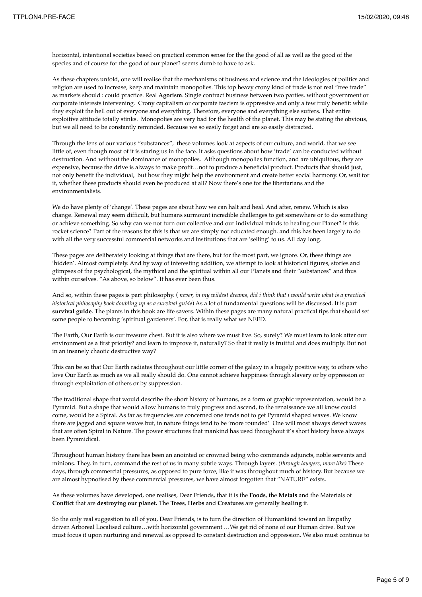horizontal, intentional societies based on practical common sense for the the good of all as well as the good of the species and of course for the good of our planet? seems dumb to have to ask.

As these chapters unfold, one will realise that the mechanisms of business and science and the ideologies of politics and religion are used to increase, keep and maintain monopolies. This top heavy crony kind of trade is not real "free trade" as markets should : could practice. Real **Agorism**. Single contract business between two parties. without government or corporate interests intervening. Crony capitalism or corporate fascism is oppressive and only a few truly benefit: while they exploit the hell out of everyone and everything. Therefore, everyone and everything else suffers. That entire exploitive attitude totally stinks. Monopolies are very bad for the health of the planet. This may be stating the obvious, but we all need to be constantly reminded. Because we so easily forget and are so easily distracted.

Through the lens of our various "substances", these volumes look at aspects of our culture, and world, that we see little of, even though most of it is staring us in the face. It asks questions about how 'trade' can be conducted without destruction. And without the dominance of monopolies. Although monopolies function, and are ubiquitous, they are expensive, because the drive is always to make profit…not to produce a beneficial product. Products that should just, not only benefit the individual, but how they might help the environment and create better social harmony. Or, wait for it, whether these products should even be produced at all? Now there's one for the libertarians and the environmentalists.

We do have plenty of 'change'. These pages are about how we can halt and heal. And after, renew. Which is also change. Renewal may seem difficult, but humans surmount incredible challenges to get somewhere or to do something or achieve something. So why can we not turn our collective and our individual minds to healing our Planet? Is this rocket science? Part of the reasons for this is that we are simply not educated enough. and this has been largely to do with all the very successful commercial networks and institutions that are 'selling' to us. All day long.

These pages are deliberately looking at things that are there, but for the most part, we ignore. Or, these things are 'hidden'. Almost completely. And by way of interesting addition, we attempt to look at historical figures, stories and glimpses of the psychological, the mythical and the spiritual within all our Planets and their "substances" and thus within ourselves. "As above, so below". It has ever been thus.

And so, within these pages is part philosophy. ( *never, in my wildest dreams, did i think that i would write what is a practical historical philosophy book doubling up as a survival guide*) As a lot of fundamental questions will be discussed. It is part **survival guide**. The plants in this book are life savers. Within these pages are many natural practical tips that should set some people to becoming 'spiritual gardeners'. For, that is really what we NEED.

The Earth, Our Earth is our treasure chest. But it is also where we must live. So, surely? We must learn to look after our environment as a first priority? and learn to improve it, naturally? So that it really is fruitful and does multiply. But not in an insanely chaotic destructive way?

This can be so that Our Earth radiates throughout our little corner of the galaxy in a hugely positive way, to others who love Our Earth as much as we all really should do. One cannot achieve happiness through slavery or by oppression or through exploitation of others or by suppression.

The traditional shape that would describe the short history of humans, as a form of graphic representation, would be a Pyramid. But a shape that would allow humans to truly progress and ascend, to the renaissance we all know could come, would be a Spiral. As far as frequencies are concerned one tends not to get Pyramid shaped waves. We know there are jagged and square waves but, in nature things tend to be 'more rounded' One will most always detect waves that are often Spiral in Nature. The power structures that mankind has used throughout it's short history have always been Pyramidical.

Throughout human history there has been an anointed or crowned being who commands adjuncts, noble servants and minions. They, in turn, command the rest of us in many subtle ways. Through layers. *(through lawyers, more like)* These days, through commercial pressures, as opposed to pure force, like it was throughout much of history. But because we are almost hypnotised by these commercial pressures, we have almost forgotten that "NATURE" exists.

As these volumes have developed, one realises, Dear Friends, that it is the **Foods**, the **Metals** and the Materials of **Conflict** that are **destroying our planet.** The **Trees**, **Herbs** and **Creatures** are generally **healing** it.

So the only real suggestion to all of you, Dear Friends, is to turn the direction of Humankind toward an Empathy driven Arboreal Localised culture…with horizontal government …We get rid of none of our Human drive. But we must focus it upon nurturing and renewal as opposed to constant destruction and oppression. We also must continue to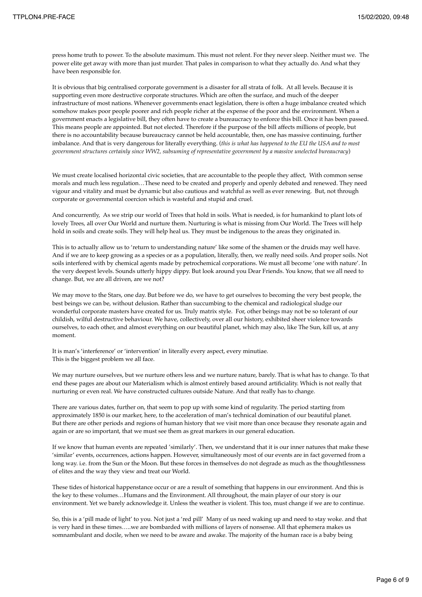press home truth to power. To the absolute maximum. This must not relent. For they never sleep. Neither must we. The power elite get away with more than just murder. That pales in comparison to what they actually do. And what they have been responsible for.

It is obvious that big centralised corporate government is a disaster for all strata of folk. At all levels. Because it is supporting even more destructive corporate structures. Which are often the surface, and much of the deeper infrastructure of most nations. Whenever governments enact legislation, there is often a huge imbalance created which somehow makes poor people poorer and rich people richer at the expense of the poor and the environment. When a government enacts a legislative bill, they often have to create a bureaucracy to enforce this bill. Once it has been passed. This means people are appointed. But not elected. Therefore if the purpose of the bill affects millions of people, but there is no accountability because bureaucracy cannot be held accountable, then, one has massive continuing, further imbalance. And that is very dangerous for literally everything. (*this is what has happened to the EU the USA and to most government structures certainly since WW2, subsuming of representative government by a massive unelected bureaucracy*)

We must create localised horizontal civic societies, that are accountable to the people they affect, With common sense morals and much less regulation…These need to be created and properly and openly debated and renewed. They need vigour and vitality and must be dynamic but also cautious and watchful as well as ever renewing. But, not through corporate or governmental coercion which is wasteful and stupid and cruel.

And concurrently, As we strip our world of Trees that hold in soils. What is needed, is for humankind to plant lots of lovely Trees, all over Our World and nurture them. Nurturing is what is missing from Our World. The Trees will help hold in soils and create soils. They will help heal us. They must be indigenous to the areas they originated in.

This is to actually allow us to 'return to understanding nature' like some of the shamen or the druids may well have. And if we are to keep growing as a species or as a population, literally, then, we really need soils. And proper soils. Not soils interfered with by chemical agents made by petrochemical corporations. We must all become 'one with nature'. In the very deepest levels. Sounds utterly hippy dippy. But look around you Dear Friends. You know, that we all need to change. But, we are all driven, are we not?

We may move to the Stars, one day. But before we do, we have to get ourselves to becoming the very best people, the best beings we can be, without delusion. Rather than succumbing to the chemical and radiological sludge our wonderful corporate masters have created for us. Truly matrix style. For, other beings may not be so tolerant of our childish, wilful destructive behaviour. We have, collectively, over all our history, exhibited sheer violence towards ourselves, to each other, and almost everything on our beautiful planet, which may also, like The Sun, kill us, at any moment.

It is man's 'interference' or 'intervention' in literally every aspect, every minutiae. This is the biggest problem we all face.

We may nurture ourselves, but we nurture others less and we nurture nature, barely. That is what has to change. To that end these pages are about our Materialism which is almost entirely based around artificiality. Which is not really that nurturing or even real. We have constructed cultures outside Nature. And that really has to change.

There are various dates, further on, that seem to pop up with some kind of regularity. The period starting from approximately 1850 is our marker, here, to the acceleration of man's technical domination of our beautiful planet. But there are other periods and regions of human history that we visit more than once because they resonate again and again or are so important, that we must see them as great markers in our general education.

If we know that human events are repeated 'similarly'. Then, we understand that it is our inner natures that make these 'similar' events, occurrences, actions happen. However, simultaneously most of our events are in fact governed from a long way. i.e. from the Sun or the Moon. But these forces in themselves do not degrade as much as the thoughtlessness of elites and the way they view and treat our World.

These tides of historical happenstance occur or are a result of something that happens in our environment. And this is the key to these volumes…Humans and the Environment. All throughout, the main player of our story is our environment. Yet we barely acknowledge it. Unless the weather is violent. This too, must change if we are to continue.

So, this is a 'pill made of light' to you. Not just a 'red pill' Many of us need waking up and need to stay woke. and that is very hard in these times…..we are bombarded with millions of layers of nonsense. All that ephemera makes us somnambulant and docile, when we need to be aware and awake. The majority of the human race is a baby being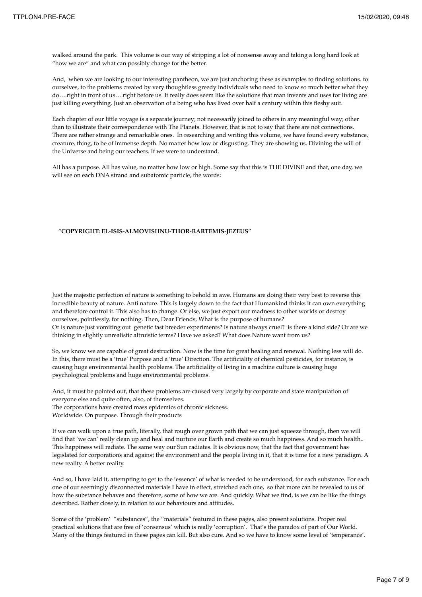walked around the park. This volume is our way of stripping a lot of nonsense away and taking a long hard look at "how we are" and what can possibly change for the better.

And, when we are looking to our interesting pantheon, we are just anchoring these as examples to finding solutions. to ourselves, to the problems created by very thoughtless greedy individuals who need to know so much better what they do….right in front of us….right before us. It really does seem like the solutions that man invents and uses for living are just killing everything. Just an observation of a being who has lived over half a century within this fleshy suit.

Each chapter of our little voyage is a separate journey; not necessarily joined to others in any meaningful way; other than to illustrate their correspondence with The Planets. However, that is not to say that there are not connections. There are rather strange and remarkable ones. In researching and writing this volume, we have found every substance, creature, thing, to be of immense depth. No matter how low or disgusting. They are showing us. Divining the will of the Universe and being our teachers. If we were to understand.

All has a purpose. All has value, no matter how low or high. Some say that this is THE DIVINE and that, one day, we will see on each DNA strand and subatomic particle, the words:

## "**COPYRIGHT: EL-ISIS-ALMOVISHNU-THOR-RARTEMIS-JEZEUS**"

Just the majestic perfection of nature is something to behold in awe. Humans are doing their very best to reverse this incredible beauty of nature. Anti nature. This is largely down to the fact that Humankind thinks it can own everything and therefore control it. This also has to change. Or else, we just export our madness to other worlds or destroy ourselves, pointlessly, for nothing. Then, Dear Friends, What is the purpose of humans? Or is nature just vomiting out genetic fast breeder experiments? Is nature always cruel? is there a kind side? Or are we thinking in slightly unrealistic altruistic terms? Have we asked? What does Nature want from us?

So, we know we are capable of great destruction. Now is the time for great healing and renewal. Nothing less will do. In this, there must be a 'true' Purpose and a 'true' Direction. The artificiality of chemical pesticides, for instance, is causing huge environmental health problems. The artificiality of living in a machine culture is causing huge psychological problems and huge environmental problems.

And, it must be pointed out, that these problems are caused very largely by corporate and state manipulation of everyone else and quite often, also, of themselves.

The corporations have created mass epidemics of chronic sickness.

Worldwide. On purpose. Through their products

If we can walk upon a true path, literally, that rough over grown path that we can just squeeze through, then we will find that 'we can' really clean up and heal and nurture our Earth and create so much happiness. And so much health.. This happiness will radiate. The same way our Sun radiates. It is obvious now, that the fact that government has legislated for corporations and against the environment and the people living in it, that it is time for a new paradigm. A new reality. A better reality.

And so, I have laid it, attempting to get to the 'essence' of what is needed to be understood, for each substance. For each one of our seemingly disconnected materials I have in effect, stretched each one, so that more can be revealed to us of how the substance behaves and therefore, some of how we are. And quickly. What we find, is we can be like the things described. Rather closely, in relation to our behaviours and attitudes.

Some of the 'problem' "substances", the "materials" featured in these pages, also present solutions. Proper real practical solutions that are free of 'consensus' which is really 'corruption'. That's the paradox of part of Our World. Many of the things featured in these pages can kill. But also cure. And so we have to know some level of 'temperance'.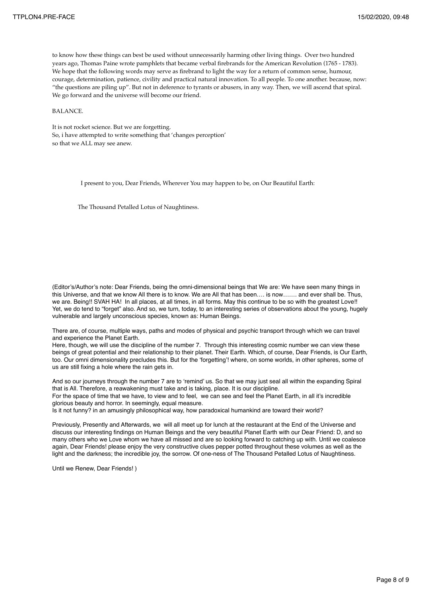to know how these things can best be used without unnecessarily harming other living things. Over two hundred years ago, Thomas Paine wrote pamphlets that became verbal firebrands for the American Revolution (1765 - 1783). We hope that the following words may serve as firebrand to light the way for a return of common sense, humour, courage, determination, patience, civility and practical natural innovation. To all people. To one another. because, now: "the questions are piling up". But not in deference to tyrants or abusers, in any way. Then, we will ascend that spiral. We go forward and the universe will become our friend.

BALANCE.

It is not rocket science. But we are forgetting. So, i have attempted to write something that 'changes perception' so that we ALL may see anew.

I present to you, Dear Friends, Wherever You may happen to be, on Our Beautiful Earth:

The Thousand Petalled Lotus of Naughtiness.

(Editor's/Author's note: Dear Friends, being the omni-dimensional beings that We are: We have seen many things in this Universe, and that we know All there is to know. We are All that has been…. is now……. and ever shall be. Thus, we are. Being!! SVAH HA! In all places, at all times, in all forms. May this continue to be so with the greatest Love!! Yet, we do tend to "forget" also. And so, we turn, today, to an interesting series of observations about the young, hugely vulnerable and largely unconscious species, known as: Human Beings.

There are, of course, multiple ways, paths and modes of physical and psychic transport through which we can travel and experience the Planet Earth.

Here, though, we will use the discipline of the number 7. Through this interesting cosmic number we can view these beings of great potential and their relationship to their planet. Their Earth. Which, of course, Dear Friends, is Our Earth, too. Our omni dimensionality precludes this. But for the 'forgetting'! where, on some worlds, in other spheres, some of us are still fixing a hole where the rain gets in.

And so our journeys through the number 7 are to 'remind' us. So that we may just seal all within the expanding Spiral that is All. Therefore, a reawakening must take and is taking, place. It is our discipline. For the space of time that we have, to view and to feel, we can see and feel the Planet Earth, in all it's incredible

glorious beauty and horror. In seemingly, equal measure.

Is it not funny? in an amusingly philosophical way, how paradoxical humankind are toward their world?

Previously, Presently and Afterwards, we will all meet up for lunch at the restaurant at the End of the Universe and discuss our interesting findings on Human Beings and the very beautiful Planet Earth with our Dear Friend: D, and so many others who we Love whom we have all missed and are so looking forward to catching up with. Until we coalesce again, Dear Friends! please enjoy the very constructive clues pepper potted throughout these volumes as well as the light and the darkness; the incredible joy, the sorrow. Of one-ness of The Thousand Petalled Lotus of Naughtiness.

Until we Renew, Dear Friends! )